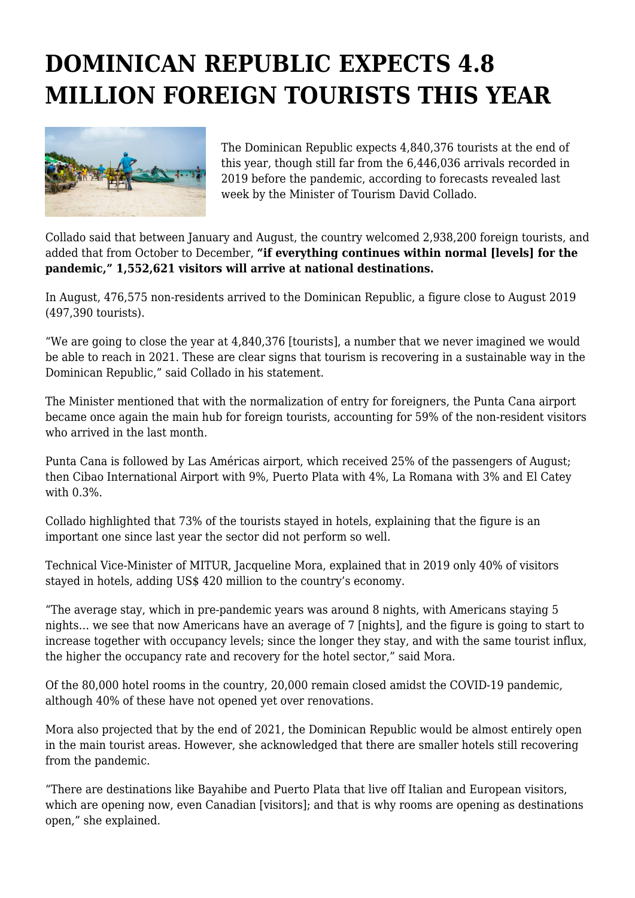## **DOMINICAN REPUBLIC EXPECTS 4.8 MILLION FOREIGN TOURISTS THIS YEAR**



The Dominican Republic expects 4,840,376 tourists at the end of this year, though still far from the 6,446,036 arrivals recorded in 2019 before the pandemic, according to forecasts revealed last week by the Minister of Tourism David Collado.

Collado said that between January and August, the country welcomed 2,938,200 foreign tourists, and added that from October to December, **"if everything continues within normal [levels] for the pandemic," 1,552,621 visitors will arrive at national destinations.**

In August, 476,575 non-residents arrived to the Dominican Republic, a figure close to August 2019 (497,390 tourists).

"We are going to close the year at 4,840,376 [tourists], a number that we never imagined we would be able to reach in 2021. These are clear signs that tourism is recovering in a sustainable way in the Dominican Republic," said Collado in his statement.

The Minister mentioned that with the normalization of entry for foreigners, the Punta Cana airport became once again the main hub for foreign tourists, accounting for 59% of the non-resident visitors who arrived in the last month.

Punta Cana is followed by Las Américas airport, which received 25% of the passengers of August; then Cibao International Airport with 9%, Puerto Plata with 4%, La Romana with 3% and El Catey with 0.3%.

Collado highlighted that 73% of the tourists stayed in hotels, explaining that the figure is an important one since last year the sector did not perform so well.

Technical Vice-Minister of MITUR, Jacqueline Mora, explained that in 2019 only 40% of visitors stayed in hotels, adding US\$ 420 million to the country's economy.

"The average stay, which in pre-pandemic years was around 8 nights, with Americans staying 5 nights… we see that now Americans have an average of 7 [nights], and the figure is going to start to increase together with occupancy levels; since the longer they stay, and with the same tourist influx, the higher the occupancy rate and recovery for the hotel sector," said Mora.

Of the 80,000 hotel rooms in the country, 20,000 remain closed amidst the COVID-19 pandemic, although 40% of these have not opened yet over renovations.

Mora also projected that by the end of 2021, the Dominican Republic would be almost entirely open in the main tourist areas. However, she acknowledged that there are smaller hotels still recovering from the pandemic.

"There are destinations like Bayahibe and Puerto Plata that live off Italian and European visitors, which are opening now, even Canadian [visitors]; and that is why rooms are opening as destinations open," she explained.